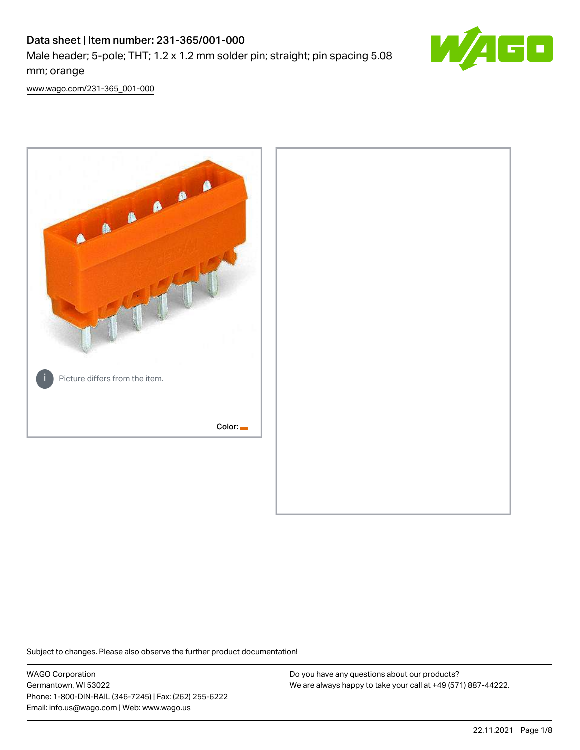# Data sheet | Item number: 231-365/001-000

Male header; 5-pole; THT; 1.2 x 1.2 mm solder pin; straight; pin spacing 5.08 mm; orange



[www.wago.com/231-365\\_001-000](http://www.wago.com/231-365_001-000)



Subject to changes. Please also observe the further product documentation!

WAGO Corporation Germantown, WI 53022 Phone: 1-800-DIN-RAIL (346-7245) | Fax: (262) 255-6222 Email: info.us@wago.com | Web: www.wago.us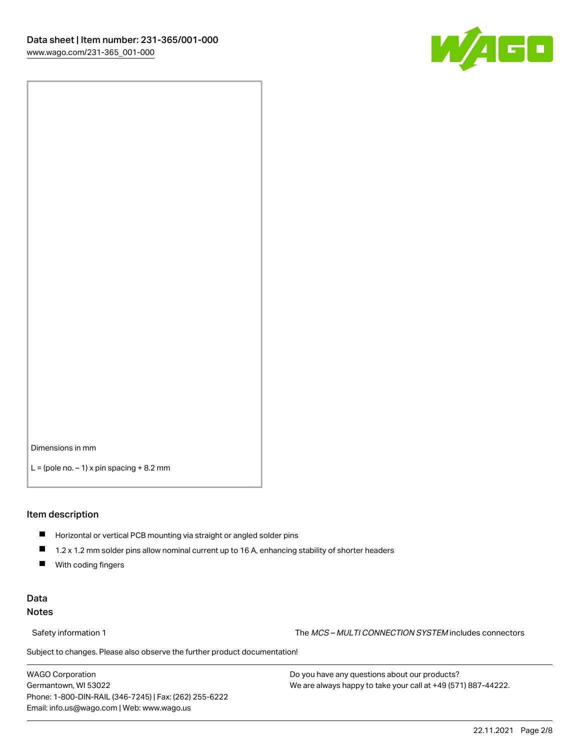

Dimensions in mm

 $L =$  (pole no.  $-1$ ) x pin spacing  $+8.2$  mm

#### Item description

- **Horizontal or vertical PCB mounting via straight or angled solder pins**
- 1.2 x 1.2 mm solder pins allow nominal current up to 16 A, enhancing stability of shorter headers
- $\blacksquare$ With coding fingers

### Data Notes

Safety information 1 The MCS – MULTI CONNECTION SYSTEM includes connectors

Subject to changes. Please also observe the further product documentation!  $\nu$ 

WAGO Corporation Germantown, WI 53022 Phone: 1-800-DIN-RAIL (346-7245) | Fax: (262) 255-6222 Email: info.us@wago.com | Web: www.wago.us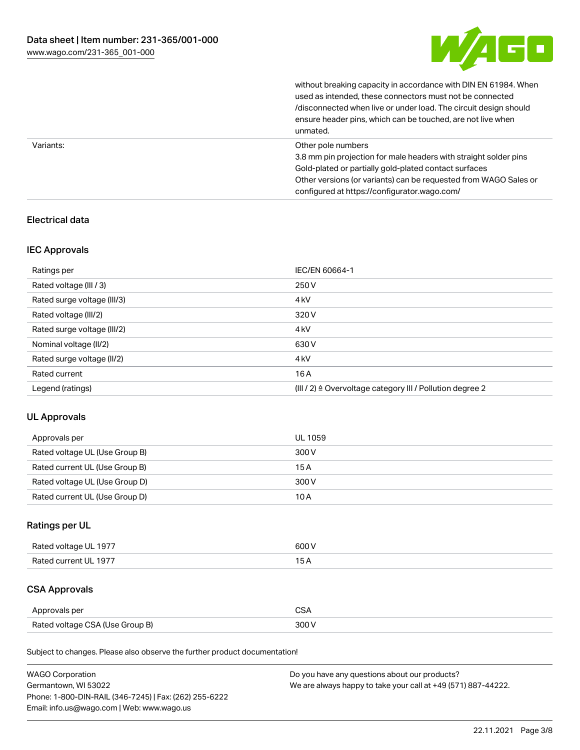

|           | without breaking capacity in accordance with DIN EN 61984. When<br>used as intended, these connectors must not be connected<br>/disconnected when live or under load. The circuit design should<br>ensure header pins, which can be touched, are not live when<br>unmated. |
|-----------|----------------------------------------------------------------------------------------------------------------------------------------------------------------------------------------------------------------------------------------------------------------------------|
| Variants: | Other pole numbers<br>3.8 mm pin projection for male headers with straight solder pins<br>Gold-plated or partially gold-plated contact surfaces<br>Other versions (or variants) can be requested from WAGO Sales or<br>configured at https://configurator.wago.com/        |

## Electrical data

### IEC Approvals

| Ratings per                 | IEC/EN 60664-1                                                        |
|-----------------------------|-----------------------------------------------------------------------|
| Rated voltage (III / 3)     | 250 V                                                                 |
| Rated surge voltage (III/3) | 4 <sub>kV</sub>                                                       |
| Rated voltage (III/2)       | 320 V                                                                 |
| Rated surge voltage (III/2) | 4 <sub>k</sub> V                                                      |
| Nominal voltage (II/2)      | 630 V                                                                 |
| Rated surge voltage (II/2)  | 4 <sub>k</sub> V                                                      |
| Rated current               | 16A                                                                   |
| Legend (ratings)            | $(III / 2)$ $\triangle$ Overvoltage category III / Pollution degree 2 |

# UL Approvals

| Approvals per                  | UL 1059 |
|--------------------------------|---------|
| Rated voltage UL (Use Group B) | 300 V   |
| Rated current UL (Use Group B) | 15 A    |
| Rated voltage UL (Use Group D) | 300 V   |
| Rated current UL (Use Group D) | 10 A    |

# Ratings per UL

| Rated voltage UL 1977 | 600 V |
|-----------------------|-------|
| Rated current UL 1977 |       |

# CSA Approvals

| Approvals per                   | ~~    |
|---------------------------------|-------|
| Rated voltage CSA (Use Group B) | 3UU 1 |

Subject to changes. Please also observe the further product documentation!

| <b>WAGO Corporation</b>                                | Do you have any questions about our products?                 |
|--------------------------------------------------------|---------------------------------------------------------------|
| Germantown, WI 53022                                   | We are always happy to take your call at +49 (571) 887-44222. |
| Phone: 1-800-DIN-RAIL (346-7245)   Fax: (262) 255-6222 |                                                               |
| Email: info.us@wago.com   Web: www.wago.us             |                                                               |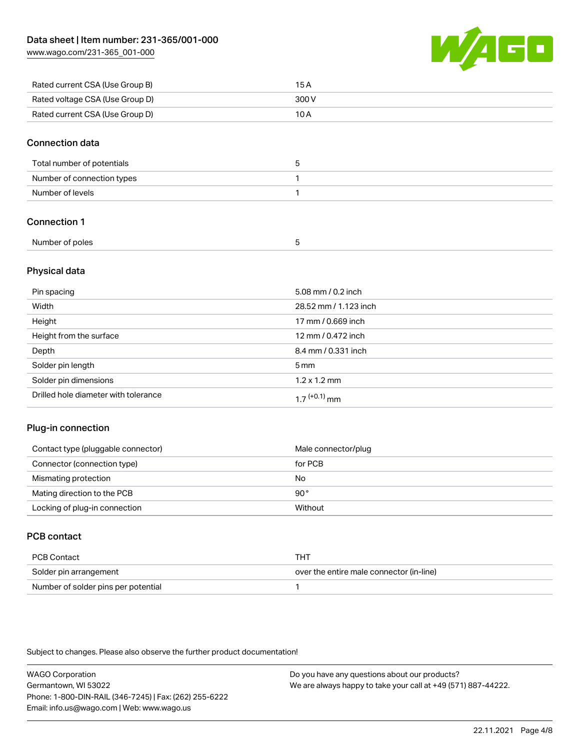[www.wago.com/231-365\\_001-000](http://www.wago.com/231-365_001-000)



| Rated current CSA (Use Group B) | 15 A  |
|---------------------------------|-------|
| Rated voltage CSA (Use Group D) | 300 V |
| Rated current CSA (Use Group D) | 10 A  |

#### Connection data

| Total number of potentials |  |
|----------------------------|--|
| Number of connection types |  |
| Number of levels           |  |

## Connection 1

| Number of poles |  |
|-----------------|--|
|                 |  |

## Physical data

| Pin spacing                          | 5.08 mm / 0.2 inch          |
|--------------------------------------|-----------------------------|
| Width                                | 28.52 mm / 1.123 inch       |
| Height                               | 17 mm / 0.669 inch          |
| Height from the surface              | 12 mm / 0.472 inch          |
| Depth                                | 8.4 mm / 0.331 inch         |
| Solder pin length                    | 5 <sub>mm</sub>             |
| Solder pin dimensions                | $1.2 \times 1.2 \text{ mm}$ |
| Drilled hole diameter with tolerance | $17^{(+0.1)}$ mm            |

### Plug-in connection

| Contact type (pluggable connector) | Male connector/plug |
|------------------------------------|---------------------|
| Connector (connection type)        | for PCB             |
| Mismating protection               | No                  |
| Mating direction to the PCB        | 90°                 |
| Locking of plug-in connection      | Without             |

# PCB contact

| PCB Contact                         | тнт                                      |
|-------------------------------------|------------------------------------------|
| Solder pin arrangement              | over the entire male connector (in-line) |
| Number of solder pins per potential |                                          |

Subject to changes. Please also observe the further product documentation!

WAGO Corporation Germantown, WI 53022 Phone: 1-800-DIN-RAIL (346-7245) | Fax: (262) 255-6222 Email: info.us@wago.com | Web: www.wago.us Do you have any questions about our products?

We are always happy to take your call at +49 (571) 887-44222.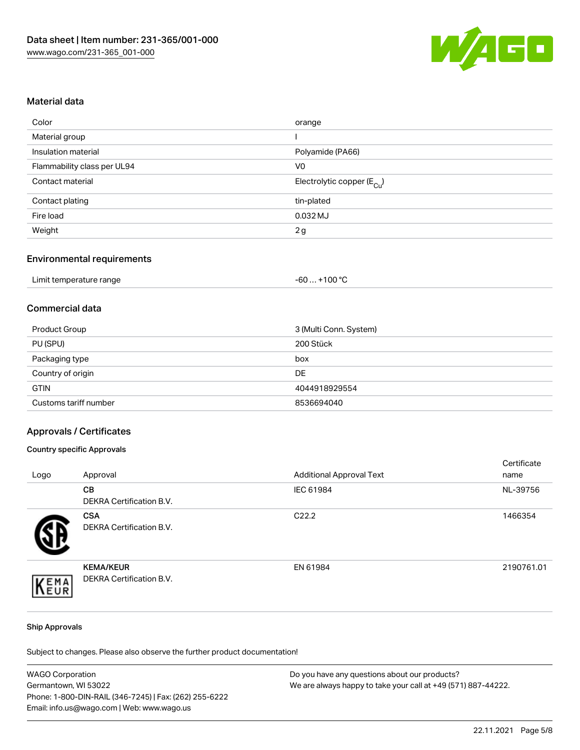

#### Material data

| orange                                 |
|----------------------------------------|
|                                        |
| Polyamide (PA66)                       |
| V <sub>0</sub>                         |
| Electrolytic copper (E <sub>Cu</sub> ) |
| tin-plated                             |
| $0.032$ MJ                             |
| 2g                                     |
|                                        |

### Environmental requirements

| Limit temperature range | . +100 °C<br>-60 |
|-------------------------|------------------|
|-------------------------|------------------|

# Commercial data

| Product Group         | 3 (Multi Conn. System) |
|-----------------------|------------------------|
| PU (SPU)              | 200 Stück              |
| Packaging type        | box                    |
| Country of origin     | DE                     |
| <b>GTIN</b>           | 4044918929554          |
| Customs tariff number | 8536694040             |

#### Approvals / Certificates

#### Country specific Approvals

| Logo | Approval                                            | <b>Additional Approval Text</b> | Certificate<br>name |
|------|-----------------------------------------------------|---------------------------------|---------------------|
|      | <b>CB</b><br><b>DEKRA Certification B.V.</b>        | IEC 61984                       | NL-39756            |
|      | <b>CSA</b><br>DEKRA Certification B.V.              | C <sub>22.2</sub>               | 1466354             |
| EMA  | <b>KEMA/KEUR</b><br><b>DEKRA Certification B.V.</b> | EN 61984                        | 2190761.01          |

#### Ship Approvals

Subject to changes. Please also observe the further product documentation!

| <b>WAGO Corporation</b>                                | Do you have any questions about our products?                 |
|--------------------------------------------------------|---------------------------------------------------------------|
| Germantown, WI 53022                                   | We are always happy to take your call at +49 (571) 887-44222. |
| Phone: 1-800-DIN-RAIL (346-7245)   Fax: (262) 255-6222 |                                                               |
| Email: info.us@wago.com   Web: www.wago.us             |                                                               |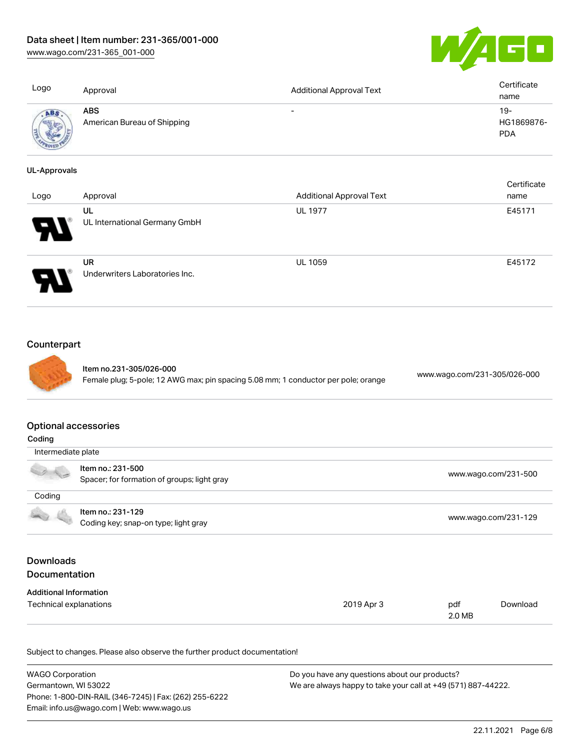[www.wago.com/231-365\\_001-000](http://www.wago.com/231-365_001-000)



| Logo                                                        | Approval                                                                                                      | <b>Additional Approval Text</b> | Certificate<br>name                |
|-------------------------------------------------------------|---------------------------------------------------------------------------------------------------------------|---------------------------------|------------------------------------|
| ABS                                                         | <b>ABS</b><br>American Bureau of Shipping                                                                     |                                 | $19 -$<br>HG1869876-<br><b>PDA</b> |
| <b>UL-Approvals</b>                                         |                                                                                                               |                                 |                                    |
| Logo                                                        | Approval                                                                                                      | <b>Additional Approval Text</b> | Certificate<br>name                |
|                                                             | UL<br>UL International Germany GmbH                                                                           | <b>UL 1977</b>                  | E45171                             |
|                                                             | <b>UR</b><br>Underwriters Laboratories Inc.                                                                   | <b>UL 1059</b>                  | E45172                             |
| Counterpart                                                 | Item no.231-305/026-000<br>Female plug; 5-pole; 12 AWG max; pin spacing 5.08 mm; 1 conductor per pole; orange |                                 | www.wago.com/231-305/026-000       |
| <b>Optional accessories</b><br>Coding<br>Intermediate plate |                                                                                                               |                                 |                                    |
|                                                             | Item no.: 231-500                                                                                             |                                 |                                    |
|                                                             | Spacer; for formation of groups; light gray                                                                   |                                 | www.wago.com/231-500               |
| Coding                                                      |                                                                                                               |                                 |                                    |
|                                                             | Item no.: 231-129<br>Coding key; snap-on type; light gray                                                     |                                 | www.wago.com/231-129               |
| <b>Downloads</b><br>Documentation                           |                                                                                                               |                                 |                                    |

# Additional Information

| Technical explanations | 2019 Apr 3 | pdf    | Download |
|------------------------|------------|--------|----------|
|                        |            | 2.0 MB |          |

Subject to changes. Please also observe the further product documentation!

| <b>WAGO Corporation</b>                                | Do you have any questions about our products?                 |
|--------------------------------------------------------|---------------------------------------------------------------|
| Germantown, WI 53022                                   | We are always happy to take your call at +49 (571) 887-44222. |
| Phone: 1-800-DIN-RAIL (346-7245)   Fax: (262) 255-6222 |                                                               |
| Email: info.us@wago.com   Web: www.wago.us             |                                                               |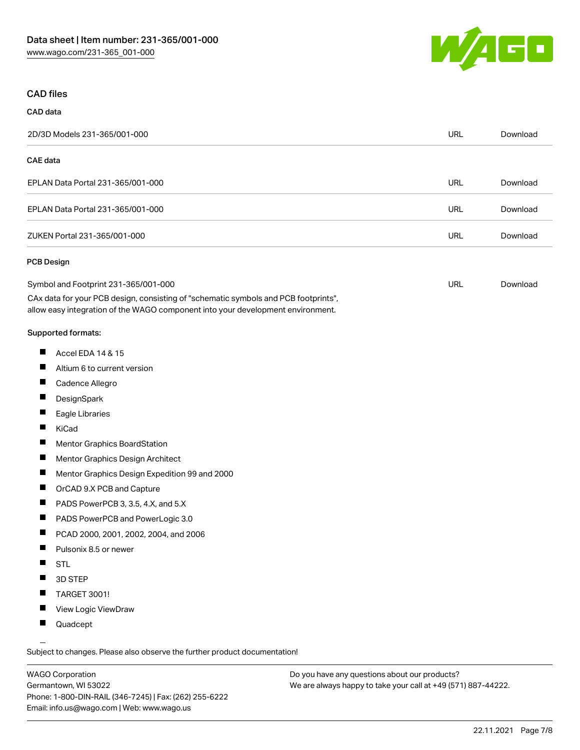

# CAD files

| CAD data |
|----------|
|          |

| 2D/3D Models 231-365/001-000                                                                                                                                           | <b>URL</b> | Download |
|------------------------------------------------------------------------------------------------------------------------------------------------------------------------|------------|----------|
| <b>CAE</b> data                                                                                                                                                        |            |          |
| EPLAN Data Portal 231-365/001-000                                                                                                                                      | <b>URL</b> | Download |
| EPLAN Data Portal 231-365/001-000                                                                                                                                      | <b>URL</b> | Download |
| ZUKEN Portal 231-365/001-000                                                                                                                                           | <b>URL</b> | Download |
| <b>PCB Design</b>                                                                                                                                                      |            |          |
| Symbol and Footprint 231-365/001-000                                                                                                                                   | <b>URL</b> | Download |
| CAx data for your PCB design, consisting of "schematic symbols and PCB footprints",<br>allow easy integration of the WAGO component into your development environment. |            |          |
| Supported formats:                                                                                                                                                     |            |          |
| ш<br>Accel EDA 14 & 15                                                                                                                                                 |            |          |
| ш<br>Altium 6 to current version                                                                                                                                       |            |          |
| ш<br>Cadence Allegro                                                                                                                                                   |            |          |
| ш<br>DesignSpark                                                                                                                                                       |            |          |
| ш<br>Eagle Libraries                                                                                                                                                   |            |          |
| П<br>KiCad                                                                                                                                                             |            |          |
| Ш<br>Mentor Graphics BoardStation                                                                                                                                      |            |          |
| ш<br>Mentor Graphics Design Architect                                                                                                                                  |            |          |
| ш<br>Mentor Graphics Design Expedition 99 and 2000                                                                                                                     |            |          |
| ш<br>OrCAD 9.X PCB and Capture                                                                                                                                         |            |          |
| H.<br>PADS PowerPCB 3, 3.5, 4.X, and 5.X                                                                                                                               |            |          |

- $\blacksquare$ PADS PowerPCB and PowerLogic 3.0
- PCAD 2000, 2001, 2002, 2004, and 2006
- **Pulsonix 8.5 or newer**
- $\blacksquare$ STL
- $\blacksquare$ 3D STEP
- $\blacksquare$ TARGET 3001!
- $\blacksquare$ View Logic ViewDraw
- $\blacksquare$ Quadcept

.<br>Subject to changes. Please also observe the further product documentation!

WAGO Corporation Germantown, WI 53022 Phone: 1-800-DIN-RAIL (346-7245) | Fax: (262) 255-6222 Email: info.us@wago.com | Web: www.wago.us